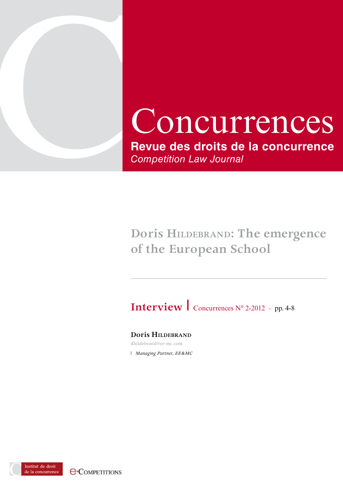

# Concurrences **Revue des droits de la concurrence** *Competition Law Journal*

## **Doris hildebrand: The emergence of the European School**

**Interview** concurrences N° 2-2012 – pp. 4-8

**Doris hildebrand**

dhildebrand@ee-mc.com

**I** Managing Partner, EE&MC

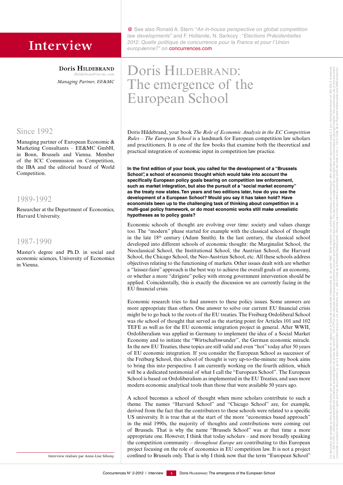**Doris HILDEBRAND** dhildebrand@ee-mc.com *Managing Partner, EE&MC*

### Since 1992

Managing partner of European Economic & Marketing Consultants – EE&MC GmbH, in Bonn, Brussels and Vienna. Member of the ICC Commission on Competition, the IBA and the editorial board of World Competition.

#### 1989-1992

Researcher at the Department of Economics, Harvard University.

#### 1987-1990

Master's degree and Ph.D. in social and economic sciences, University of Economics in Vienna.

Interview réalisée par Anne-Lise Sibony.

@ See also Ronald A. Stern: "*An in-house perspective on global competition law developments*" and F. Hollande, N. Sarkozy : "*Elections Présidentielles*  **Interview** <sup>2012: Quelle politique de concurrence pour la France et pour l'Union **interview européenne?**" on **concurrences.com**</sup>

## Doris HILDEBRAND: The emergence of the European School

Doris Hildebrand, your book *The Role of Economic Analysis in the EC Competition Rules – The European School* is a landmark for European competition law scholars and practitioners. It is one of the few books that examine both the theoretical and practical integration of economic input in competition law practice.

**In the first edition of your book, you called for the development of a "Brussels School", a school of economic thought which would take into account the specifically European policy goals bearing on competition law enforcement, such as market integration, but also the pursuit of a "social market economy" as the treaty now states. Ten years and two editions later, how do you see the development of a European School? Would you say it has taken hold? Have economists been up to the challenging task of thinking about competition in a multi-goal policy framework, or do most economic works still make unrealistic hypotheses as to policy goals?**

Economic schools of thought are evolving over time: society and values change too. The "modern" phase started for example with the classical school of thought in the late  $18<sup>th</sup>$  century (Adam Smith). In the last century, the classical school developed into different schools of economic thought: the Marginalist School, the Neoclassical School, the Institutional School, the Austrian School, the Harvard School, the Chicago School, the Neo-Austrian School, etc. All these schools address objectives relating to the functioning of markets. Other issues dealt with are whether a "laissez-faire" approach is the best way to achieve the overall goals of an economy, or whether a more "dirigiste" policy with strong government intervention should be applied. Coincidentally, this is exactly the discussion we are currently facing in the EU financial crisis.

Economic research tries to find answers to these policy issues. Some answers are more appropriate than others. One answer to solve our current EU financial crisis might be to go back to the roots of the EU treaties. The Freiburg Ordoliberal School was *the* school of thought that served as the starting point for Articles 101 and 102 TEFE as well as for the EU economic integration project in general. After WWII, Ordoliberalism was applied in Germany to implement the idea of a Social Market Economy and to initiate the "Wirtschaftswunder", the German economic miracle. In the new EU Treaties, these topics are still valid and even "hot" today after 50 years of EU economic integration. If you consider the European School as successor of the Freiburg School, this school of thought is very up-to-the-minute: my book aims to bring this into perspective. I am currently working on the fourth edition, which will be a dedicated testimonial of what I call the "European School". The European School is based on Ordoliberalism as implemented in the EU Treaties, and uses more modern economic analytical tools than those that were available 50 years ago.

A school becomes a school of thought when more scholars contribute to such a theme. The names "Harvard School" and "Chicago School" are, for example, derived from the fact that the contributors to these schools were related to a specific US university. It is true that at the start of the more "economics based approach" in the mid 1990s, the majority of thoughts and contributions were coming out of Brussels. That is why the name "Brussels School" was at that time a more appropriate one. However, I think that today scholars – and more broadly speaking the competition community – *throughout Europe* are contributing to this European project focusing on the role of economics in EU competition law. It is not a project confined to Brussels only. That is why I think now that the term "European School"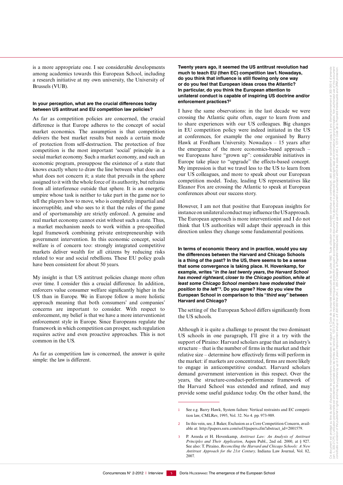is a more appropriate one. I see considerable developments among academics towards this European School, including a research initiative at my own university, the University of Brussels (VUB).

#### **In your perception, what are the crucial differences today between US antitrust and EU competition law policies?**

As far as competition policies are concerned, the crucial difference is that Europe adheres to the concept of social market economics. The assumption is that competition delivers the best market results but needs a certain mode of protection from self-destruction. The protection of free competition is the most important 'social' principle in a social market economy. Such a market economy, and such an economic program, presuppose the existence of a state that knows exactly where to draw the line between what does and what does not concern it; a state that prevails in the sphere assigned to it with the whole force of its authority, but refrains from all interference outside that sphere. It is an energetic umpire whose task is neither to take part in the game nor to tell the players how to move, who is completely impartial and incorruptible, and who sees to it that the rules of the game and of sportsmanship are strictly enforced. A genuine and real market economy cannot exist without such a state. Thus, a market mechanism needs to work within a pre-specified legal framework combining private entrepreneurship with government intervention. In this economic concept, social welfare is of concern too: strongly integrated competitive markets deliver wealth for all citizens by reducing risks related to war and social rebellions. These EU policy goals have been consistent for about 50 years.

My insight is that US antitrust policies change more often over time. I consider this a crucial difference. In addition, enforcers value consumer welfare significantly higher in the US than in Europe. We in Europe follow a more holistic approach meaning that both consumers' and companies' concerns are important to consider. With respect to enforcement, my belief is that we have a more interventionist enforcement style in Europe. Since Europeans regulate the framework in which competition can prosper, such regulation requires active and even proactive approaches. This is not common in the US.

As far as competition law is concerned, the answer is quite simple: the law is different.

**Twenty years ago, it seemed the US antitrust revolution had much to teach EU (then EC) competition law1. Nowadays, do you think that influence is still flowing only one way or do you feel that European ideas cross the Atlantic? In particular, do you think the European attention to unilateral conduct is capable of inspiring US doctrine and/or enforcement practices?2**

I have the same observations: in the last decade we were crossing the Atlantic quite often, eager to learn from and to share experiences with our US colleagues. Big changes in EU competition policy were indeed initiated in the US at conferences, for example the one organised by Barry Hawk at Fordham University. Nowadays – 15 years after the emergence of the more economics-based approach – we Europeans have "grown up": considerable initiatives in Europe take place to "upgrade" the effects-based concept. My impression is that we travel less to the US to learn from our US colleagues, and more to speak about our European competition model. Today, leading US representatives like Eleanor Fox are crossing the Atlantic to speak at European conferences about our success story.

However, I am not that positive that European insights for instance on unilateral conduct may influence the US approach. The European approach is more interventionist and I do not think that US authorities will adapt their approach in this direction unless they change some fundamental positions.

**In terms of economic theory and in practice, would you say the differences between the Harvard and Chicago Schools is a thing of the past? In the US, there seems to be a sense that some convergence is taking place. H. Hovenkamp, for example, writes "***in the last twenty years, the Harvard School has moved rightward, closer to the Chicago position, while at least some Chicago School members have moderated their position to the left***"3 . Do you agree? How do you view the European School in comparison to this "***third way***" between Harvard and Chicago?**

The setting of the European School differs significantly from the US schools.

Although it is quite a challenge to present the two dominant US schools in one paragraph, I'll give it a try with the support of Piraino: Harvard scholars argue that an industry's structure – that is the number of firms in the market and their relative size – determine how effectively firms will perform in the market: if markets are concentrated, firms are more likely to engage in anticompetitive conduct. Harvard scholars demand government intervention in this respect. Over the years, the structure-conduct-performance framework of the Harvard School was extended and refined, and may provide some useful guidance today. On the other hand, the

<sup>1</sup> See e.g. Barry Hawk, System failure: Vertical restraints and EC competition law, CMLRev, 1995, Vol. 32. No 4. pp. 973-989.

<sup>2</sup> In this vein, see, J. Baker, Exclusion as a Core Competition Concern, available at: http://papers.ssrn.com/sol3/papers.cfm?abstract\_id=2001579.

<sup>3</sup> P. Areeda et H. Hovenkamp, *Antitrust Law: An Analysis of Antitrust Principles and Their Application*, Aspen Publ., 2nd ed. 2000, at § 927. See also: T. Piraino, *Reconciling the Harvard and Chicago Schools: A New Antitrust Approach for the 21st Century,* Indiana Law Journal, Vol. 82, 2007*.*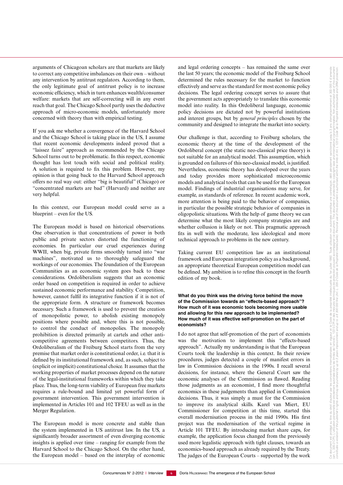arguments of Chicagoan scholars are that markets are likely to correct any competitive imbalances on their own – without any intervention by antitrust regulators. According to them, the only legitimate goal of antitrust policy is to increase economic efficiency, which in turn enhances wealth/consumer welfare: markets that are self-correcting will in any event reach that goal. The Chicago School partly uses the deductive approach of micro-economic models, unfortunately more concerned with theory than with empirical testing.

If you ask me whether a convergence of the Harvard School and the Chicago School is taking place in the US, I assume that recent economic developments indeed proved that a "laissez faire" approach as recommended by the Chicago School turns out to be problematic. In this respect, economic thought has lost touch with social and political reality. A solution is required to fix this problem. However, my opinion is that going back to the Harvard School approach offers no real way out: either "big is beautiful" (Chicago) or "concentrated markets are bad" (Harvard) and neither are very helpful.

In this context, our European model could serve as a blueprint – even for the US.

The European model is based on historical observations. One observation is that concentrations of power in both public and private sectors distorted the functioning of economies. In particular our cruel experiences during WWII, when big, private firms smoothly turned into "war machines", motivated us to thoroughly safeguard the workings of our economies. The foundation of the European Communities as an economic system goes back to these considerations. Ordoliberalism suggests that an economic order based on competition is required in order to achieve sustained economic performance and stability. Competition, however, cannot fulfil its integrative function if it is not of the appropriate form. A structure or framework becomes necessary. Such a framework is used to prevent the creation of monopolistic power, to abolish existing monopoly positions where possible and, where this is not possible, to control the conduct of monopolies. The monopoly prohibition is directed primarily at cartels and other anticompetitive agreements between competitors. Thus, the Ordoliberalism of the Freiburg School starts from the very premise that market order is constitutional order, i.e. that it is defined by its institutional framework and, as such, subject to (explicit or implicit) constitutional choice. It assumes that the working properties of market processes depend on the nature of the legal-institutional frameworks within which they take place. Thus, the long-term viability of European free markets requires a rule-bound and limited yet powerful form of government intervention. This government intervention is implemented in Articles 101 and 102 TFEU as well as in the Merger Regulation.

The European model is more concrete and stable than the system implemented in US antitrust law. In the US, a significantly broader assortment of even diverging economic insights is applied over time – ranging for example from the Harvard School to the Chicago School. On the other hand, the European model – based on the interplay of economic

and legal ordering concepts – has remained the same over the last 50 years; the economic model of the Freiburg School determined the rules necessary for the market to function effectively and serve as the standard for most economic policy decisions. The legal ordering concept serves to assure that the government acts appropriately to translate this economic model into reality. In this Ordoliberal language, economic policy decisions are dictated not by powerful institutions and interest groups, but by *general principles* chosen by the community and designed to integrate the market into society.

Our challenge is that, according to Freiburg scholars, the economic theory at the time of the development of the Ordoliberal concept (the static neo-classical price theory) is not suitable for an analytical model. This assumption, which is grounded on failures of this neo-classical model, is justified. Nevertheless, economic theory has developed over the years and today provides more sophisticated microeconomic models and analytical tools that can be used for the European model. Findings of industrial organisations may serve, for example, as standards of reference. In recent academic work, more attention is being paid to the behavior of companies, in particular the possible strategic behavior of companies in oligopolistic situations. With the help of game theory we can determine what the most likely company strategies are and whether collusion is likely or not. This pragmatic approach fits in well with the moderate, less ideological and more technical approach to problems in the new century.

Taking current EU competition law as an institutional framework and European integration policy as a background, an appropriate theoretical European competition model can be defined. My ambition is to refine this concept in the fourth edition of my book.

#### **What do you think was the driving force behind the move of the Commission towards an "effects-based approach"? How much of it was economic tools becoming more usable and allowing for this new approach to be implemented? How much of it was effective self-promotion on the part of economists?**

I do not agree that self-promotion of the part of economists was the motivation to implement this "effects-based approach". Actually my understanding is that the European Courts took the leadership in this context. In their review procedures, judges detected a couple of manifest errors in law in Commission decisions in the 1990s. I recall several decisions, for instance, where the General Court saw the economic analyses of the Commission as flawed. Reading those judgments as an economist, I find more thoughtful economics in these judgements than applied in Commission decisions. Thus, it was simply a must for the Commission to improve its analytical skills. Karel van Miert, EU Commissioner for competition at this time, started this overall modernisation process in the mid 1990s. His first project was the modernisation of the vertical regime in Article 101 TFEU. By introducing market share caps, for example, the application focus changed from the previously used more legalistic approach with tight clauses, towards an economics-based approach as already required by the Treaty. The judges of the European Courts – supported by the work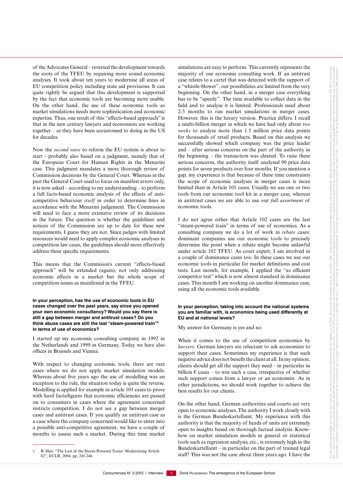of the Advocates General – reversed the development towards the roots of the TFEU by requiring more sound economic analyses. It took about ten years to modernise all areas of EU competition policy including state aid provisions. It can quite rightly be argued that this development is supported by the fact that economic tools are becoming more usable. On the other hand, the use of these economic tools as market simulations needs more sophistication and economic expertise. Thus, one result of this "effects-based approach" is that in the new century lawyers and economists are working together – as they have been accustomed to doing in the US Now the *second wave* to reform the EU system is about to

start - probably also based on a judgment, namely that of the European Court for Human Rights in the Menarini case. This judgment mandates a more thorough review of Commission decisions by the General Court. Whereas in the past the General Court used to focus on manifest errors only, it is now asked – according to my understanding – to perform a full facts-based economic analysis of the effects of anticompetitive behaviour *itself* in order to determine fines in accordance with the Menarini judgement. The Commission will need to face a more extensive review of its decisions in the future. The question is whether the guidelines and notices of the Commission are up to date for these new requirements. I guess they are not. Since judges with limited resources would need to apply complex economic analyses in competition law cases, the guidelines should more effectively address these specific requirements.

for decades.

This means that the Commision's current "effects-based approach" will be extended (again), not only addressing economic effects in a market but the whole scope of competition issues as manifested in the TFEU.

#### **In your perception, has the use of economic tools in EU cases changed over the past years, say since you opened your own economic consultancy? Would you say there is still a gap between merger and antitrust cases? Do you think abuse cases are still the last "steam-powered train"4 in terms of use of economics?**

I started up my economic consulting company in 1992 in the Netherlands and 1999 in Germany. Today we have also offices in Brussels and Vienna.

With respect to changing economic tools, there are rare cases where we do not apply market simulation models. Whereas about five years ago the use of modelling was an exception to the rule, the situation today is quite the reverse. Modelling is applied for example in article 101 cases to prove with hard facts/figures that economic efficiencies are passed on to consumers in cases where the agreement concerned restricts competition. I do not see a gap between merger cases and antitrust cases. If you qualify an antitrust case as a case where the company concerned would like to enter into a possible anti-competitive agreement, we have a couple of months to assess such a market. During this time market

simulations are easy to perform. This currently represents the majority of our economic consulting work. If an antitrust case relates to a cartel that was detected with the support of a "whistle-blower", our possibilities are limited from the very beginning. On the other hand, in a merger case everything has to be "speedy". The time available to collect data in the field and to analyse it is limited. Professionals need about 2-3 months to run market simulations in merger cases. However, this is the luxury version. Practice differs. I recall a multi-billion merger in which we have had only about *two weeks* to analyse more than 1.5 million price data points for thousands of retail products. Based on this analysis we successfully showed which company was the price leader and – after serious concerns on the part of the authority in the beginning – the transaction was cleared. To raise these serious concerns, the authority itself analysed 90 price data points for seven products over four months. If you mention a gap, my experience is that because of these time constraints the scope of economic analyses in merger cases is more limited than in Article 101 cases. Usually we use one or two tools from our economic tool kit in a merger case, whereas in antitrust cases we are able to use our *full assortment* of economic tools.

I do not agree either that Article 102 cases are the last "steam-powered train" in terms of use of economics. As a consulting company we do a lot of work in *rebate* cases: dominant companies use our economic tools to precisely determine the point when a rebate might become unlawful under article 102 TFEU. As court expert, I am involved in a couple of dominance cases too. In these cases we use our economic tools in particular for market definitions and cost tests. Last month, for example, I applied the "as efficient competitor test" which is now almost standard in dominance cases. This month I am working on another dominance case, using all the economic tools available.

#### **In your perception, taking into account the national systems you are familiar with, is economics being used differently at EU and at national levels?**

My answer for Germany is yes and no.

When it comes to the use of competition economics by *lawyers*: German lawyers are reluctant to ask economists to support their cases. Sometimes my experience is that such negative advice does not benefit the client at all. In my opinion, clients should get all the support they need – in particular in billion  $\epsilon$  cases – to win such a case, irrespective of whether such support comes from a lawyer or an economist. As in other jurisdictions, we should work together to achieve the best results for our clients.

On the other hand, German authorities and courts are very open to economic analyses. The authority I work closely with is the German Bundeskartellamt. My experience with this authority is that the majority of heads of units are extremely open to insights based on thorough factual analysis. Knowhow on market simulation models in general or statistical tools such as regression analysis, etc., is extremely high in the Bundeskartellamt – in particular on the part of trained legal staff! This was not the case about three years ago. I have the

B. Sher, "The Last of the Steam-Powered Trains: Modernising Article 82", ECLR, 2004, pp. 243-246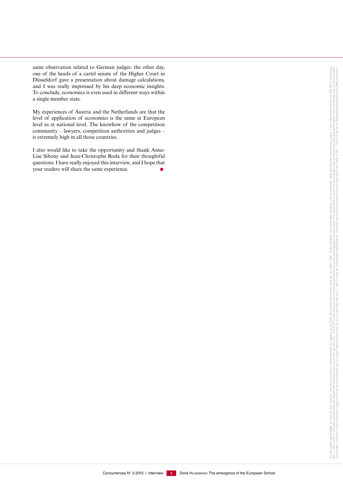same observation related to German judges: the other day, one of the heads of a cartel senate of the Higher Court in Düsseldorf gave a presentation about damage calculations, and I was really impressed by his deep economic insights. To conclude, economics is even used in different ways within a single member state.

My experiences of Austria and the Netherlands are that the level of application of economics is the same at European level as at national level. The knowhow of the competition community – lawyers, competition authorities and judges – is extremely high in all those countries.

I also would like to take the opportunity and thank Anne-Lise Sibony and Jean-Christophe Roda for their thoughtful questions. I have really enjoyed this interview, and I hope that your readers will share the same experience.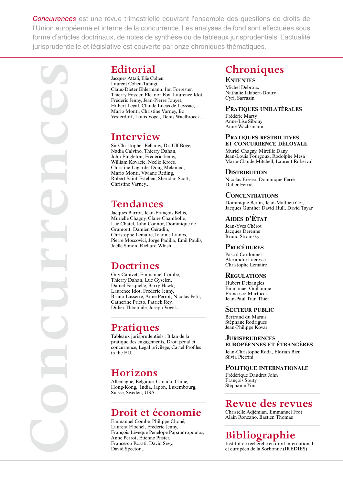*Concurrences* est une revue trimestrielle couvrant l'ensemble des questions de droits de l'Union européenne et interne de la concurrence. Les analyses de fond sont effectuées sous forme d'articles doctrinaux, de notes de synthèse ou de tableaux jurisprudentiels. L'actualité jurisprudentielle et législative est couverte par onze chroniques thématiques.

**Concurrences**

### **Editorial**

Jacques Attali, Elie Cohen, Laurent Cohen-Tanugi, Claus‑Dieter Ehlermann, Ian Forrester, Thierry Fossier, Eleanor Fox, Laurence Idot, Frédéric Jenny, Jean‑Pierre Jouyet, Hubert Legal, Claude Lucas de Leyssac, Mario Monti, Christine Varney, Bo Vesterdorf, Louis Vogel, Denis Waelbroeck...

### **Interview**

Sir Christopher Bellamy, Dr. Ulf Böge, Nadia Calvino, Thierry Dahan, John Fingleton, Frédéric Jenny, William Kovacic, Neelie Kroes, Christine Lagarde, Doug Melamed, Mario Monti, Viviane Reding, Robert Saint‑Esteben, Sheridan Scott, Christine Varney...

### **Tendances**

Jacques Barrot, Jean‑François Bellis, Murielle Chagny, Claire Chambolle, Luc Chatel, John Connor, Dominique de Gramont, Damien Géradin, Christophe Lemaire, Ioannis Lianos, Pierre Moscovici, Jorge Padilla, Emil Paulis, Joëlle Simon, Richard Whish...

### **Doctrines**

Guy Canivet, Emmanuel Combe, Thierry Dahan, Luc Gyselen, Daniel Fasquelle, Barry Hawk, Laurence Idot, Frédéric Jenny, Bruno Lasserre, Anne Perrot, Nicolas Petit, Catherine Prieto, Patrick Rey, Didier Théophile, Joseph Vogel...

## **Pratiques**

Tableaux jurisprudentiels : Bilan de la pratique des engagements, Droit pénal et concurrence, Legal privilege, Cartel Profiles in the EU...

### **Horizons**

Allemagne, Belgique, Canada, Chine, Hong‑Kong, India, Japon, Luxembourg, Suisse, Sweden, USA...

### **Droit et économie**

Emmanuel Combe, Philippe Choné, Laurent Flochel, Frédéric Jenny, François Lévêque Penelope Papandropoulos, Anne Perrot, Etienne Pfister, Francesco Rosati, David Sevy, David Spector...

## **Chroniques**

**ENTENTES** Michel Debroux Nathalie Jalabert‑Doury Cyril Sarrazin

#### **PratiquEs unilatéralEs**

Frédéric Marty Anne‑Lise Sibony Anne Wachsmann

#### **PratiquEs rEstrictivEs Et concurrEncE déloyalE**

Muriel Chagny, Mireille Dany Jean-Louis Fourgoux, Rodolphe Mesa Marie‑Claude Mitchell, Laurent Roberval

#### **DISTRIBUTION**

Nicolas Ereseo, Dominique Ferré Didier Ferrié

#### **concEntrations**

Dominique Berlin, Jean‑Mathieu Cot, Jacques Gunther David Hull, David Tayar

#### **aidEs d'état**

Jean‑Yves Chérot Jacques Derenne Bruno Stromsky

#### **PROCÉDURES**

Pascal Cardonnel Alexandre Lacresse Christophe Lemaire

#### **R**égulations

Hubert Delzangles Emmanuel Guillaume Francesco Martucci Jean‑Paul Tran Thiet

#### **SECTEUR PUBLIC**

Bertrand du Marais Stéphane Rodrigues Jean‑Philippe Kovar

#### **JurisPrudEncEs**

**EuroPéEnnEs Et étrangèrEs** Jean‑Christophe Roda, Florian Bien Silvia Pietrini

#### **PolitiquE intErnationalE**

Frédérique Daudret John François Souty Stéphanie Yon

### **Revue des revues**

Christelle Adjémian, Emmanuel Frot Alain Ronzano, Bastien Thomas

### **Bibliographie**

Institut de recherche en droit international et européen de la Sorbonne (IREDIES)